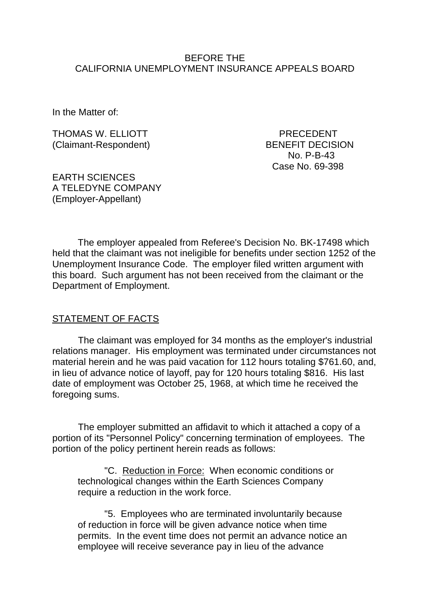### BEFORE THE CALIFORNIA UNEMPLOYMENT INSURANCE APPEALS BOARD

In the Matter of:

THOMAS W. ELLIOTT PRECEDENT (Claimant-Respondent) BENEFIT DECISION

No. P-B-43 Case No. 69-398

EARTH SCIENCES A TELEDYNE COMPANY (Employer-Appellant)

The employer appealed from Referee's Decision No. BK-17498 which held that the claimant was not ineligible for benefits under section 1252 of the Unemployment Insurance Code. The employer filed written argument with this board. Such argument has not been received from the claimant or the Department of Employment.

#### STATEMENT OF FACTS

The claimant was employed for 34 months as the employer's industrial relations manager. His employment was terminated under circumstances not material herein and he was paid vacation for 112 hours totaling \$761.60, and, in lieu of advance notice of layoff, pay for 120 hours totaling \$816. His last date of employment was October 25, 1968, at which time he received the foregoing sums.

The employer submitted an affidavit to which it attached a copy of a portion of its "Personnel Policy" concerning termination of employees. The portion of the policy pertinent herein reads as follows:

"C. Reduction in Force: When economic conditions or technological changes within the Earth Sciences Company require a reduction in the work force.

"5. Employees who are terminated involuntarily because of reduction in force will be given advance notice when time permits. In the event time does not permit an advance notice an employee will receive severance pay in lieu of the advance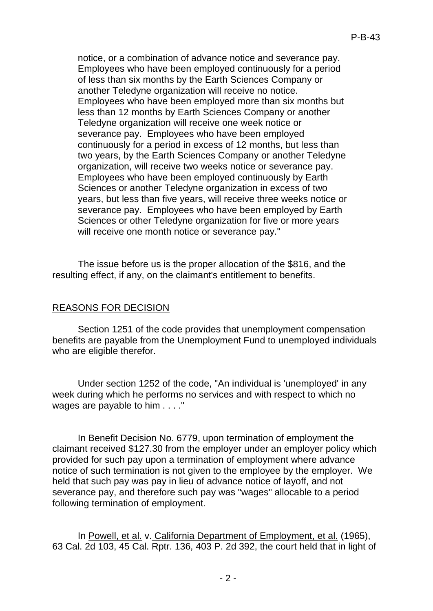notice, or a combination of advance notice and severance pay. Employees who have been employed continuously for a period of less than six months by the Earth Sciences Company or another Teledyne organization will receive no notice. Employees who have been employed more than six months but less than 12 months by Earth Sciences Company or another Teledyne organization will receive one week notice or severance pay. Employees who have been employed continuously for a period in excess of 12 months, but less than two years, by the Earth Sciences Company or another Teledyne organization, will receive two weeks notice or severance pay. Employees who have been employed continuously by Earth Sciences or another Teledyne organization in excess of two years, but less than five years, will receive three weeks notice or severance pay. Employees who have been employed by Earth Sciences or other Teledyne organization for five or more years will receive one month notice or severance pay."

The issue before us is the proper allocation of the \$816, and the resulting effect, if any, on the claimant's entitlement to benefits.

## REASONS FOR DECISION

Section 1251 of the code provides that unemployment compensation benefits are payable from the Unemployment Fund to unemployed individuals who are eligible therefor.

Under section 1252 of the code, "An individual is 'unemployed' in any week during which he performs no services and with respect to which no wages are payable to him . . . ."

In Benefit Decision No. 6779, upon termination of employment the claimant received \$127.30 from the employer under an employer policy which provided for such pay upon a termination of employment where advance notice of such termination is not given to the employee by the employer. We held that such pay was pay in lieu of advance notice of layoff, and not severance pay, and therefore such pay was "wages" allocable to a period following termination of employment.

In Powell, et al. v. California Department of Employment, et al. (1965), 63 Cal. 2d 103, 45 Cal. Rptr. 136, 403 P. 2d 392, the court held that in light of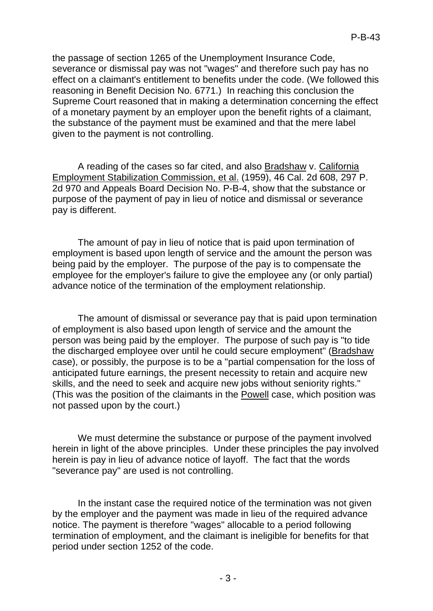the passage of section 1265 of the Unemployment Insurance Code, severance or dismissal pay was not "wages" and therefore such pay has no effect on a claimant's entitlement to benefits under the code. (We followed this reasoning in Benefit Decision No. 6771.) In reaching this conclusion the Supreme Court reasoned that in making a determination concerning the effect of a monetary payment by an employer upon the benefit rights of a claimant, the substance of the payment must be examined and that the mere label given to the payment is not controlling.

A reading of the cases so far cited, and also **Bradshaw v. California** Employment Stabilization Commission, et al. (1959), 46 Cal. 2d 608, 297 P. 2d 970 and Appeals Board Decision No. P-B-4, show that the substance or purpose of the payment of pay in lieu of notice and dismissal or severance pay is different.

The amount of pay in lieu of notice that is paid upon termination of employment is based upon length of service and the amount the person was being paid by the employer. The purpose of the pay is to compensate the employee for the employer's failure to give the employee any (or only partial) advance notice of the termination of the employment relationship.

The amount of dismissal or severance pay that is paid upon termination of employment is also based upon length of service and the amount the person was being paid by the employer. The purpose of such pay is "to tide the discharged employee over until he could secure employment" (Bradshaw case), or possibly, the purpose is to be a "partial compensation for the loss of anticipated future earnings, the present necessity to retain and acquire new skills, and the need to seek and acquire new jobs without seniority rights." (This was the position of the claimants in the Powell case, which position was not passed upon by the court.)

We must determine the substance or purpose of the payment involved herein in light of the above principles. Under these principles the pay involved herein is pay in lieu of advance notice of layoff. The fact that the words "severance pay" are used is not controlling.

In the instant case the required notice of the termination was not given by the employer and the payment was made in lieu of the required advance notice. The payment is therefore "wages" allocable to a period following termination of employment, and the claimant is ineligible for benefits for that period under section 1252 of the code.